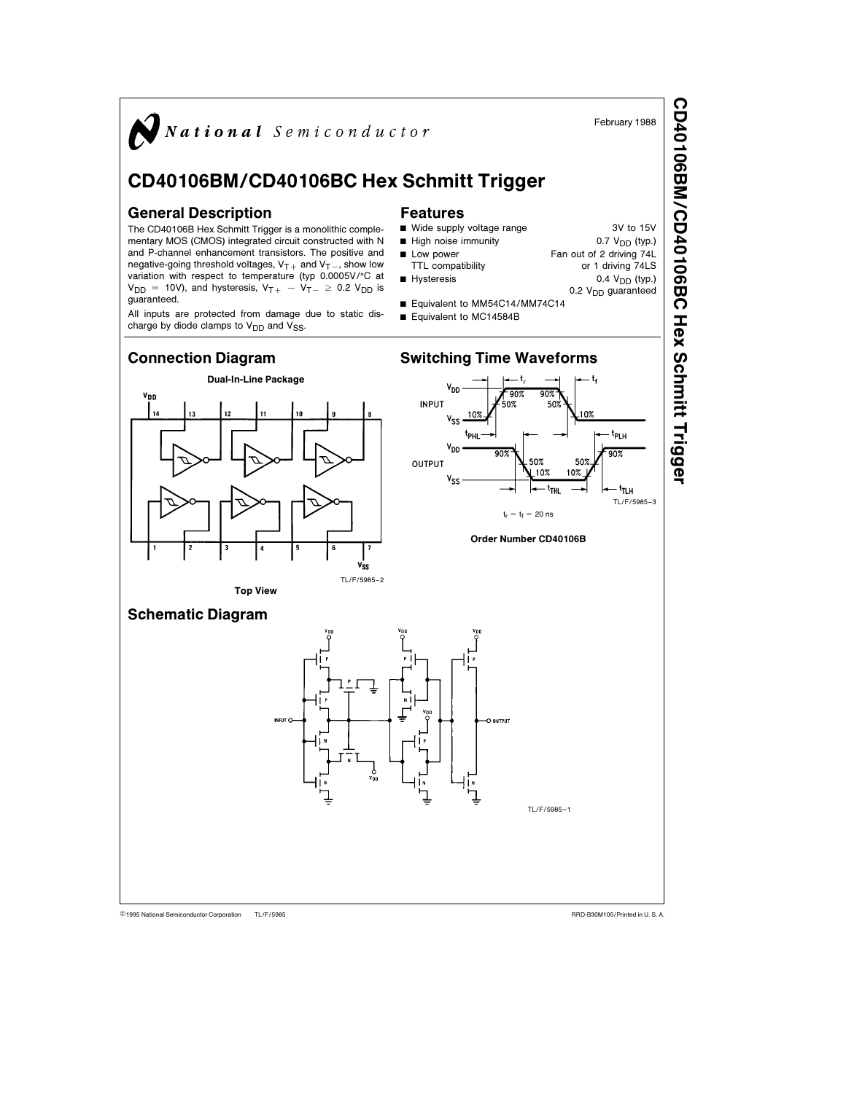

TL/F/5985 C1995 National Semiconductor Corporation TL/F/5985 National Semiconductor Corporation RRD-B30M105/Printed in U. S. A.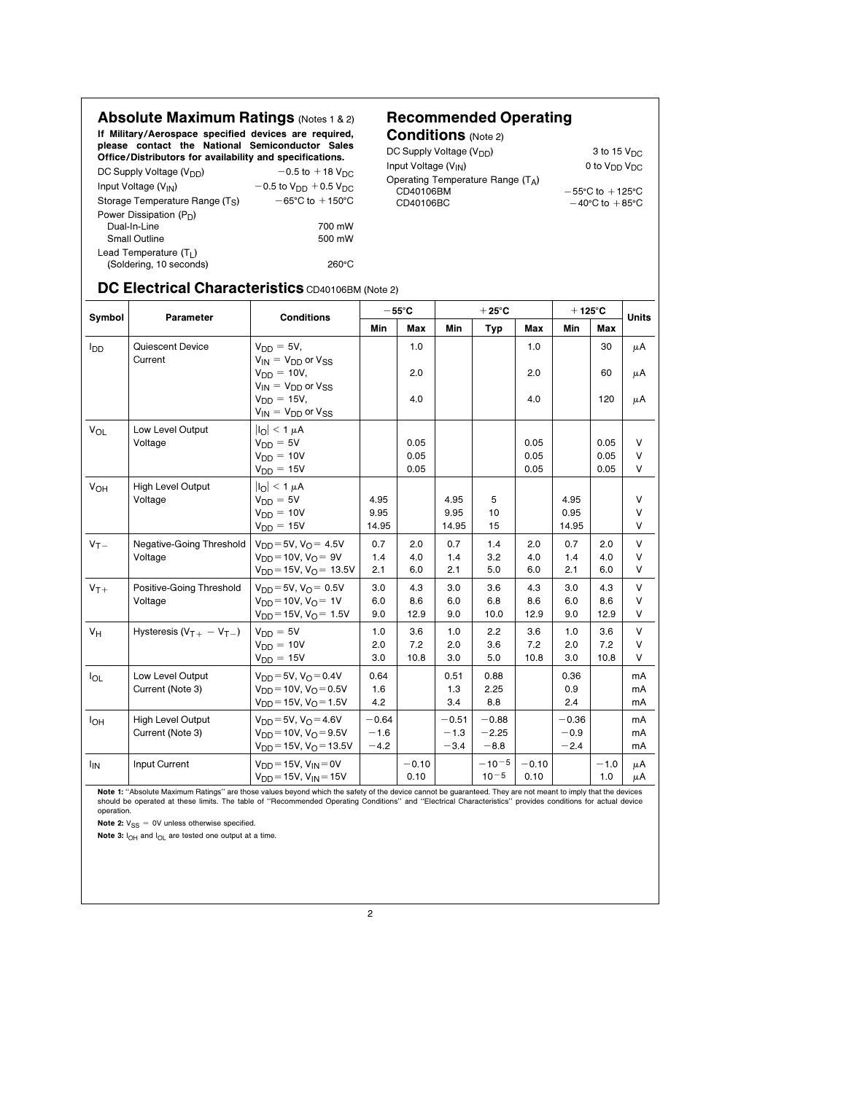Absolute Maximum Ratings (Notes 1 & 2) If Military/Aerospace specified devices are required, please contact the National Semiconductor Sales Office/Distributors for availability and specifications.<br>  $DC$ Supply Voltage (V<sub>an</sub>) Drive, Distributory to:  $\frac{1}{2}$  or  $\frac{1}{2}$  or  $\frac{1}{2}$  or  $\frac{1}{2}$  or  $\frac{1}{2}$  or  $\frac{1}{2}$  or  $\frac{1}{2}$  or  $\frac{1}{2}$  or  $\frac{1}{2}$  or  $\frac{1}{2}$  or  $\frac{1}{2}$  or  $\frac{1}{2}$  or  $\frac{1}{2}$  or  $\frac{1}{2}$  or  $\frac{1}{2}$  or  $\$ 

| DC Supply Voltage $(V_{DD})$                | $-0.5$ to $+18$ V <sub>DC</sub>                  |
|---------------------------------------------|--------------------------------------------------|
| Input Voltage (V <sub>IN</sub> )            | $-0.5$ to V <sub>DD</sub> $+0.5$ V <sub>DC</sub> |
| Storage Temperature Range (T <sub>S</sub> ) | $-65^{\circ}$ C to $+150^{\circ}$ C              |
| Power Dissipation $(P_D)$                   |                                                  |
| Dual-In-Line                                | 700 mW                                           |
| <b>Small Outline</b>                        | 500 mW                                           |
| Lead Temperature $(T1)$                     |                                                  |
| (Soldering, 10 seconds)                     | 260°C                                            |

## Recommended Operating

Conditions (Note 2)  $DC$  Supply Voltage (V<sub>DD</sub>) 3 to 15 V<sub>DC</sub><br>  $1$ nput Voltage (V<sub>IN</sub>) 3 to 15 V<sub>DD</sub> V<sub>DC</sub> Input Voltage  $(V_{\text{IN}})$ Operating Temperature Range (T<sub>A</sub>)  $-55^{\circ}\text{C}$  to  $+125^{\circ}\text{C}$ CD40106BM  $-55^{\circ}$ C to  $+125^{\circ}$ C<br>CD40106BC  $-40^{\circ}$ C to  $+85^{\circ}$ C

## DC Electrical Characteristics CD40106BM (Note 2)

| Symbol                 | Parameter                                    | <b>Conditions</b>                                                                                                  | $-55^{\circ}$ C             |                    | $+25^{\circ}$ C             |                              |                    | $+125^{\circ}$ C            |                    | <b>Units</b>               |  |
|------------------------|----------------------------------------------|--------------------------------------------------------------------------------------------------------------------|-----------------------------|--------------------|-----------------------------|------------------------------|--------------------|-----------------------------|--------------------|----------------------------|--|
|                        |                                              |                                                                                                                    | Min                         | Max                | Min                         | Typ                          | Max                | <b>Min</b>                  | Max                |                            |  |
| <b>I</b> <sub>DD</sub> | Quiescent Device<br>Current                  | $V_{DD} = 5V$ ,<br>$V_{IN} = V_{DD}$ or $V_{SS}$                                                                   |                             | 1.0                |                             |                              | 1.0                |                             | 30                 | μA                         |  |
|                        |                                              | $V_{DD} = 10V$ ,<br>$V_{IN} = V_{DD}$ or $V_{SS}$                                                                  |                             | 2.0                |                             |                              | 2.0                |                             | 60                 | μA                         |  |
|                        |                                              | $V_{DD} = 15V$ ,<br>$V_{IN} = V_{DD}$ or $V_{SS}$                                                                  |                             | 4.0                |                             |                              | 4.0                |                             | 120                | μA                         |  |
| $V_{OL}$               | Low Level Output<br>Voltage                  | $ I_{\Omega}  < 1 \mu A$<br>$V_{DD} = 5V$<br>$V_{DD} = 10V$                                                        |                             | 0.05<br>0.05       |                             |                              | 0.05<br>0.05       |                             | 0.05<br>0.05       | V<br>V                     |  |
|                        |                                              | $V_{DD} = 15V$                                                                                                     |                             | 0.05               |                             |                              | 0.05               |                             | 0.05               | V                          |  |
| <b>V<sub>OH</sub></b>  | <b>High Level Output</b><br>Voltage          | $ I_{\Omega}  < 1 \mu A$<br>$V_{DD} = 5V$<br>$V_{DD} = 10V$<br>$V_{DD} = 15V$                                      | 4.95<br>9.95<br>14.95       |                    | 4.95<br>9.95<br>14.95       | 5<br>10<br>15                |                    | 4.95<br>0.95<br>14.95       |                    | $\vee$<br>V<br>$\vee$      |  |
| $V_T -$                | Negative-Going Threshold<br>Voltage          | $V_{DD} = 5V$ , $V_{\Omega} = 4.5V$<br>$V_{DD} = 10V$ , $V_{\Omega} = 9V$<br>$V_{DD} = 15V$ , $V_{\Omega} = 13.5V$ | 0.7<br>1.4<br>2.1           | 2.0<br>4.0<br>6.0  | 0.7<br>1.4<br>2.1           | 1.4<br>3.2<br>5.0            | 2.0<br>4.0<br>6.0  | 0.7<br>1.4<br>2.1           | 2.0<br>4.0<br>6.0  | $\vee$<br>V<br>V           |  |
| $V_T +$                | Positive-Going Threshold<br>Voltage          | $V_{DD} = 5V$ , $V_{\Omega} = 0.5V$<br>$V_{DD} = 10V$ , $V_{\Omega} = 1V$<br>$V_{DD} = 15V$ , $V_{\Omega} = 1.5V$  | 3.0<br>6.0<br>9.0           | 4.3<br>8.6<br>12.9 | 3.0<br>6.0<br>9.0           | 3.6<br>6.8<br>10.0           | 4.3<br>8.6<br>12.9 | 3.0<br>6.0<br>9.0           | 4.3<br>8.6<br>12.9 | $\vee$<br>$\vee$<br>V      |  |
| $V_H$                  | Hysteresis $(VT+ - VT-)$                     | $V_{DD} = 5V$<br>$V_{DD} = 10V$<br>$V_{DD} = 15V$                                                                  | 1.0<br>2.0<br>3.0           | 3.6<br>7.2<br>10.8 | 1.0<br>2.0<br>3.0           | 2.2<br>3.6<br>5.0            | 3.6<br>7.2<br>10.8 | 1.0<br>2.0<br>3.0           | 3.6<br>7.2<br>10.8 | $\vee$<br>$\vee$<br>V      |  |
| $I_{OL}$               | Low Level Output<br>Current (Note 3)         | $V_{DD} = 5V$ , $V_{\Omega} = 0.4V$<br>$V_{DD} = 10V$ , $V_{O} = 0.5V$<br>$V_{DD} = 15V$ , $V_{\Omega} = 1.5V$     | 0.64<br>1.6<br>4.2          |                    | 0.51<br>1.3<br>3.4          | 0.88<br>2.25<br>8.8          |                    | 0.36<br>0.9<br>2.4          |                    | m <sub>A</sub><br>mA<br>mA |  |
| $I_{OH}$               | <b>High Level Output</b><br>Current (Note 3) | $V_{DD} = 5V$ , $V_{\Omega} = 4.6V$<br>$V_{DD} = 10V$ , $V_{O} = 9.5V$<br>$V_{DD} = 15V$ , $V_{O} = 13.5V$         | $-0.64$<br>$-1.6$<br>$-4.2$ |                    | $-0.51$<br>$-1.3$<br>$-3.4$ | $-0.88$<br>$-2.25$<br>$-8.8$ |                    | $-0.36$<br>$-0.9$<br>$-2.4$ |                    | mA<br>mA<br>mA             |  |
| <sup>I</sup> IN        | Input Current                                | $V_{DD} = 15V, V_{IN} = 0V$<br>$V_{DD} = 15V$ , $V_{IN} = 15V$                                                     |                             | $-0.10$<br>0.10    |                             | $-10-5$<br>$10 - 5$          | $-0.10$<br>0.10    |                             | $-1.0$<br>1.0      | μA<br>μA                   |  |

**Note 1:** "Absolute Maximum Ratings" are those values beyond which the safety of the device cannot be guaranteed. They are not meant to imply that the devices<br>should be operated at these limits. The table of "Recommended O operation.

Note 2:  $V_{SS} = 0V$  unless otherwise specified.

Note 3: I<sub>OH</sub> and I<sub>OL</sub> are tested one output at a time.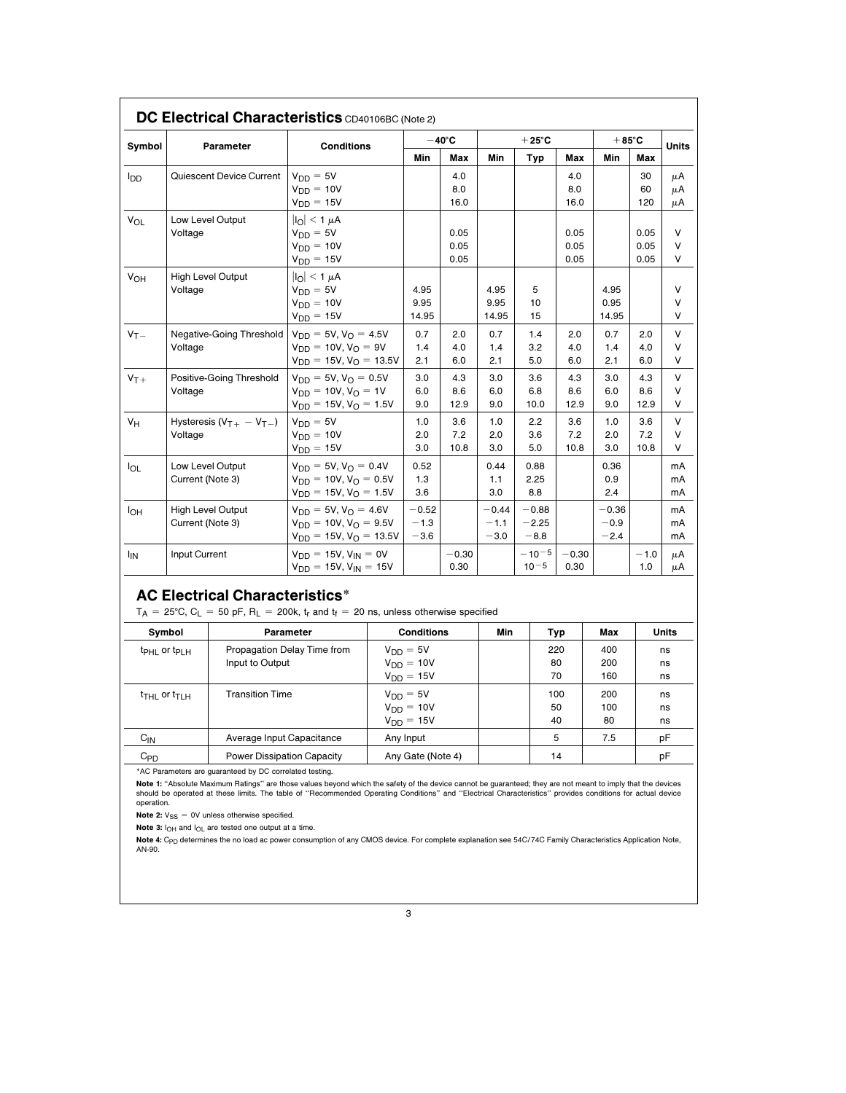| Symbol                                                             |                                                         |                                                                                                                                                                             |                                                                |                | $-40^{\circ}$ C                 |              | $+25^{\circ}$ C   |                    |              | $+85^{\circ}$ C   |              | <b>Units</b> |
|--------------------------------------------------------------------|---------------------------------------------------------|-----------------------------------------------------------------------------------------------------------------------------------------------------------------------------|----------------------------------------------------------------|----------------|---------------------------------|--------------|-------------------|--------------------|--------------|-------------------|--------------|--------------|
|                                                                    | Parameter                                               |                                                                                                                                                                             | <b>Conditions</b>                                              |                | Min                             | Max          | Min               | Typ                | Max          | Min               | Max          |              |
| l <sub>DD</sub>                                                    | Quiescent Device Current                                |                                                                                                                                                                             | $V_{DD} = 5V$                                                  |                |                                 | 4.0          |                   |                    | 4.0          |                   | 30           | μA           |
|                                                                    |                                                         |                                                                                                                                                                             | $V_{DD} = 10V$                                                 |                |                                 | 8.0          |                   |                    | 8.0          |                   | 60           | μA           |
|                                                                    |                                                         |                                                                                                                                                                             | $V_{DD} = 15V$                                                 |                |                                 | 16.0         |                   |                    | 16.0         |                   | 120          | μA           |
| VOL                                                                | Low Level Output<br>Voltage                             |                                                                                                                                                                             | $\vert I_{\Omega}\vert \leq 1 \mu A$                           |                |                                 |              |                   |                    |              |                   |              | V            |
|                                                                    |                                                         |                                                                                                                                                                             | $V_{DD} = 5V$<br>$V_{DD} = 10V$                                |                |                                 | 0.05<br>0.05 |                   |                    | 0.05<br>0.05 |                   | 0.05<br>0.05 | V            |
|                                                                    |                                                         |                                                                                                                                                                             | $V_{DD} = 15V$                                                 |                |                                 | 0.05         |                   |                    | 0.05         |                   | 0.05         | V            |
| V <sub>OH</sub>                                                    |                                                         | <b>High Level Output</b>                                                                                                                                                    | $ I_O  < 1 \mu A$                                              |                |                                 |              |                   |                    |              |                   |              |              |
|                                                                    | Voltage                                                 |                                                                                                                                                                             | $V_{DD} = 5V$                                                  |                | 4.95                            |              | 4.95              | 5                  |              | 4.95              |              | v            |
|                                                                    |                                                         |                                                                                                                                                                             | $V_{DD} = 10V$                                                 |                | 9.95                            |              | 9.95              | 10                 |              | 0.95              |              | v            |
|                                                                    |                                                         |                                                                                                                                                                             | $V_{DD} = 15V$                                                 |                | 14.95                           |              | 14.95             | 15                 |              | 14.95             |              | v            |
| $V_T -$                                                            |                                                         | Negative-Going Threshold                                                                                                                                                    | $V_{DD} = 5V, V_{O} = 4.5V$                                    |                | 0.7                             | 2.0          | 0.7               | 1.4                | 2.0          | 0.7               | 2.0          | V            |
|                                                                    | Voltage                                                 |                                                                                                                                                                             | $V_{DD} = 10V, V_{O} = 9V$<br>$V_{DD} = 15V$ , $V_{O} = 13.5V$ |                | 1.4<br>2.1                      | 4.0<br>6.0   | 1.4<br>2.1        | 3.2<br>5.0         | 4.0<br>6.0   | 1.4<br>2.1        | 4.0<br>6.0   | V<br>V       |
|                                                                    |                                                         |                                                                                                                                                                             | $V_{DD} = 5V, V_{O} = 0.5V$                                    |                | 3.0                             | 4.3          | 3.0               | 3.6                | 4.3          | 3.0               | 4.3          | V            |
| $V_{T+}$                                                           | Positive-Going Threshold<br>Voltage                     |                                                                                                                                                                             | $V_{DD} = 10V, V_{O} = 1V$                                     |                | 6.0                             | 8.6          | 6.0               | 6.8                | 8.6          | 6.0               | 8.6          | v            |
|                                                                    |                                                         |                                                                                                                                                                             | $V_{DD} = 15V, V_{O} = 1.5V$                                   |                | 9.0                             | 12.9         | 9.0               | 10.0               | 12.9         | 9.0               | 12.9         | V            |
| $V_H$                                                              | Hysteresis $(VT+ - VT-)$<br>Voltage                     |                                                                                                                                                                             | $V_{DD} = 5V$                                                  |                | 1.0                             | 3.6          | 1.0               | 2.2                | 3.6          | 1.0               | 3.6          | V            |
|                                                                    |                                                         |                                                                                                                                                                             | $V_{DD} = 10V$                                                 |                | 2.0                             | 7.2          | 2.0               | 3.6                | 7.2          | 2.0               | 7.2          | v            |
|                                                                    |                                                         |                                                                                                                                                                             | $V_{DD} = 15V$                                                 |                | 3.0                             | 10.8         | 3.0               | 5.0                | 10.8         | 3.0               | 10.8         | V            |
| <b>I</b> OL                                                        | Low Level Output<br>Current (Note 3)                    |                                                                                                                                                                             | $V_{DD} = 5V, V_{O} = 0.4V$                                    |                | 0.52                            |              | 0.44              | 0.88               |              | 0.36              |              | mA           |
|                                                                    |                                                         |                                                                                                                                                                             | $V_{DD} = 10V$ , $V_{\Omega} = 0.5V$                           |                | 1.3                             |              | 1.1               | 2.25               |              | 0.9               |              | mA           |
|                                                                    |                                                         |                                                                                                                                                                             | $V_{DD} = 15V, V_{O} = 1.5V$                                   |                | 3.6                             |              | 3.0               | 8.8                |              | 2.4               |              | mA           |
| Iон                                                                | <b>High Level Output</b><br>Current (Note 3)            |                                                                                                                                                                             | $V_{DD} = 5V, V_{O} = 4.6V$<br>$V_{DD} = 10V, V_{O} = 9.5V$    |                | $-0.52$<br>$-1.3$               |              | $-0.44$<br>$-1.1$ | $-0.88$<br>$-2.25$ |              | $-0.36$<br>$-0.9$ |              | mA<br>mA     |
|                                                                    |                                                         |                                                                                                                                                                             | $V_{DD} = 15V, V_O = 13.5V$                                    |                | $-3.6$                          |              | $-3.0$            | $-8.8$             |              | $-2.4$            |              | mA           |
| <sup>I</sup> IN                                                    | Input Current                                           |                                                                                                                                                                             | $V_{DD} = 15V, V_{IN} = 0V$                                    |                |                                 | $-0.30$      |                   | $-10-5$            | $-0.30$      |                   | $-1.0$       | μA           |
|                                                                    |                                                         |                                                                                                                                                                             | $V_{DD} = 15V, V_{IN} = 15V$                                   |                |                                 | 0.30         |                   | $10^{-5}$          | 0.30         |                   | 1.0          | μA           |
|                                                                    |                                                         | <b>AC Electrical Characteristics*</b><br>$T_A$ = 25°C, C <sub>L</sub> = 50 pF, R <sub>L</sub> = 200k, t <sub>r</sub> and t <sub>f</sub> = 20 ns, unless otherwise specified |                                                                |                |                                 |              |                   |                    |              |                   |              |              |
|                                                                    | Symbol                                                  |                                                                                                                                                                             | <b>Parameter</b>                                               |                | <b>Conditions</b>               |              | Min               |                    | Typ          | Max               |              | <b>Units</b> |
|                                                                    | $t_{\text{PHL}}$ or $t_{\text{PLH}}$<br>Input to Output |                                                                                                                                                                             | Propagation Delay Time from                                    |                | $V_{DD} = 5V$                   |              |                   |                    | 220          | 400               |              | ns           |
|                                                                    |                                                         |                                                                                                                                                                             |                                                                |                | $V_{DD} = 10V$                  |              |                   | 80<br>70           |              | 200               | ns           |              |
|                                                                    |                                                         |                                                                                                                                                                             |                                                                |                | $V_{DD} = 15V$                  |              |                   |                    |              | 160<br>200        |              | ns           |
| <b>Transition Time</b><br>$t$ <sub>THL</sub> or $t$ <sub>TLH</sub> |                                                         |                                                                                                                                                                             |                                                                |                | $V_{DD} = 5V$<br>$V_{DD} = 10V$ |              |                   |                    | 100<br>50    |                   |              | ns           |
|                                                                    |                                                         |                                                                                                                                                                             |                                                                | $V_{DD} = 15V$ |                                 |              | 40                |                    | 100<br>80    |                   | ns<br>ns     |              |
| $C_{\text{IN}}$                                                    |                                                         |                                                                                                                                                                             | Average Input Capacitance                                      |                | Any Input                       |              |                   |                    | 5<br>7.5     |                   | рF           |              |
| $C_{PD}$<br><b>Power Dissipation Capacity</b>                      |                                                         |                                                                                                                                                                             |                                                                |                | Any Gate (Note 4)               |              |                   | 14                 |              |                   | pF           |              |
|                                                                    |                                                         | *AC Parameters are guaranteed by DC correlated testing.                                                                                                                     |                                                                |                |                                 |              |                   |                    |              |                   |              |              |
|                                                                    |                                                         | Note 1: "Absolute Maximum Ratings" are those values beyond which the safety of the device cannot be guaranteed; they are not meant to imply that the devices                |                                                                |                |                                 |              |                   |                    |              |                   |              |              |

**Note 4:** C<sub>PD</sub> determines the no load ac power consumption of any CMOS device. For complete explanation see 54C/74C Family Characteristics Application Note,<br>AN-90.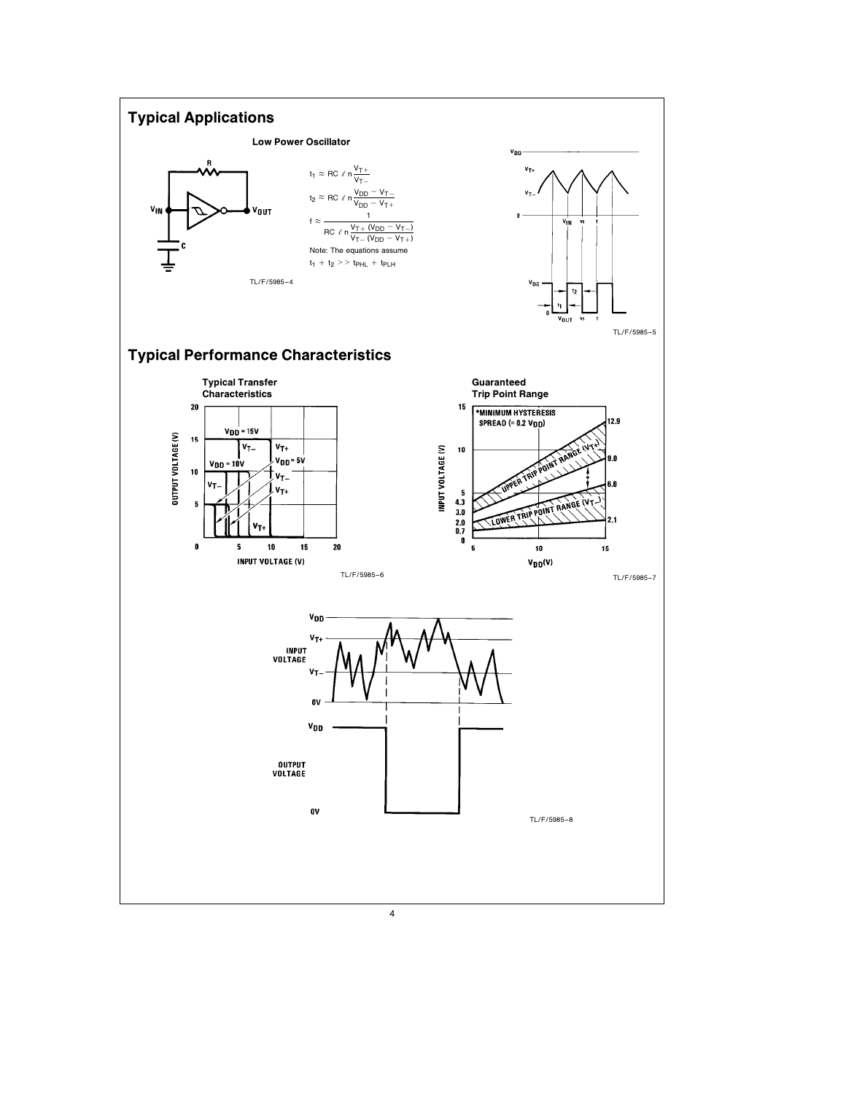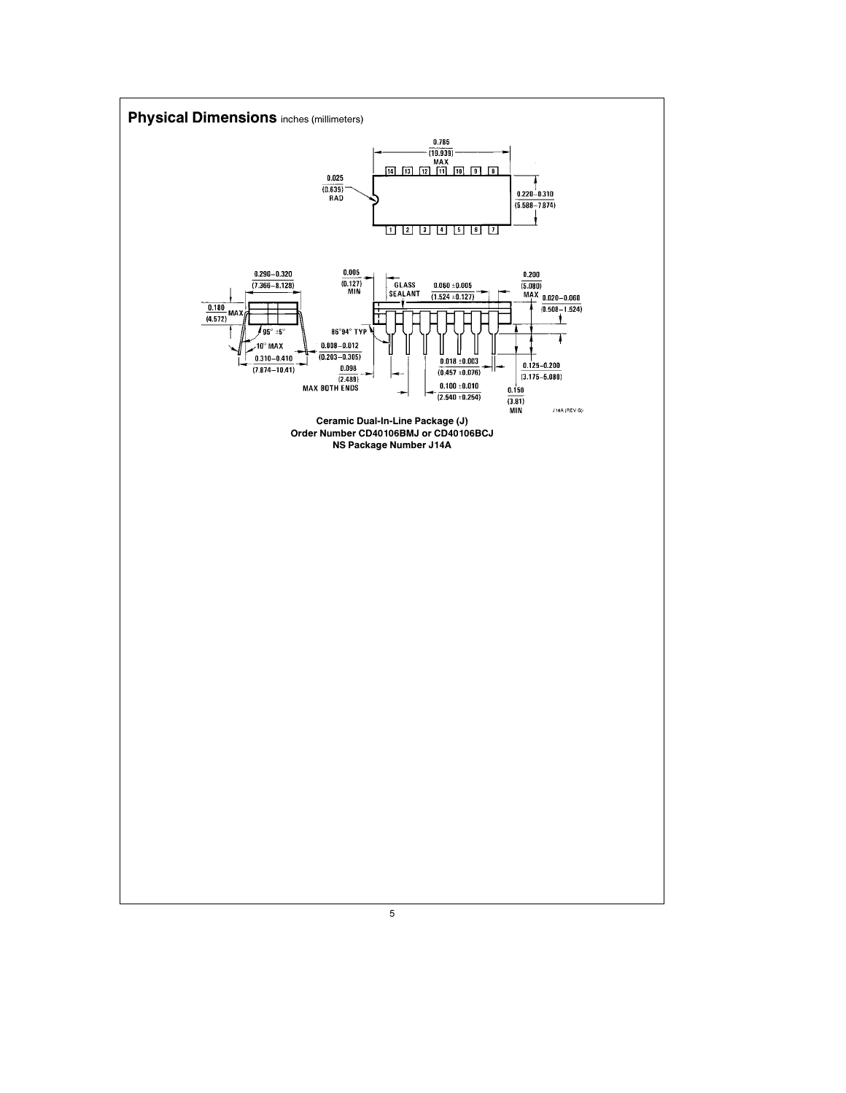